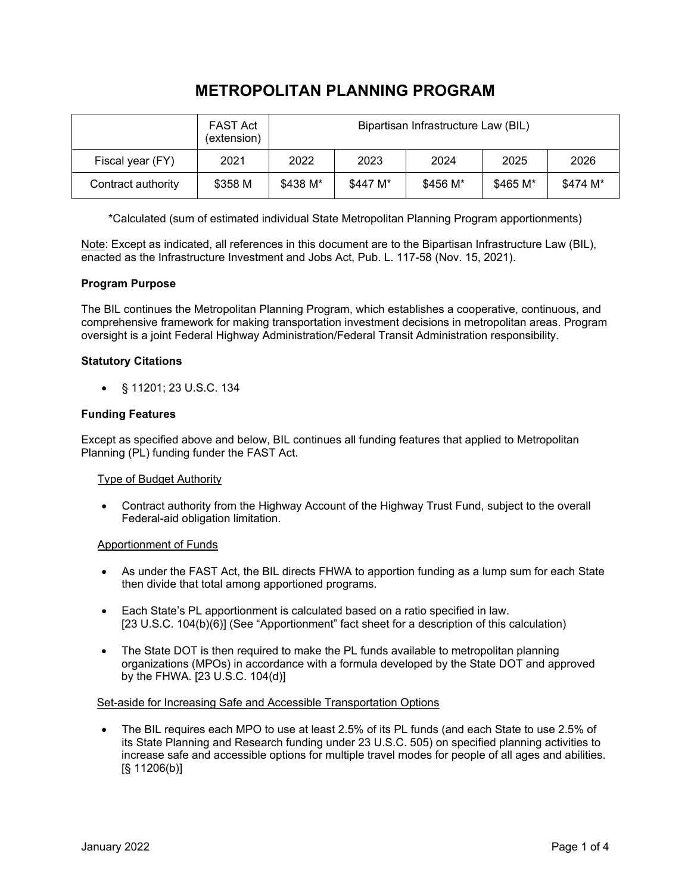# **METROPOLITAN PLANNING PROGRAM**

|                    | <b>FAST Act</b><br>(extension) | Bipartisan Infrastructure Law (BIL) |          |          |          |          |
|--------------------|--------------------------------|-------------------------------------|----------|----------|----------|----------|
| Fiscal year (FY)   | 2021                           | 2022                                | 2023     | 2024     | 2025     | 2026     |
| Contract authority | \$358 M                        | \$438 M*                            | \$447 M* | \$456 M* | \$465 M* | \$474 M* |

\*Calculated (sum of estimated individual State Metropolitan Planning Program apportionments)

Note: Except as indicated, all references in this document are to the Bipartisan Infrastructure Law (BIL), enacted as the Infrastructure Investment and Jobs Act, Pub. L. 117-58 (Nov. 15, 2021).

# **Program Purpose**

The BIL continues the Metropolitan Planning Program, which establishes a cooperative, continuous, and comprehensive framework for making transportation investment decisions in metropolitan areas. Program oversight is a joint Federal Highway Administration/Federal Transit Administration responsibility.

# **Statutory Citations**

• § 11201; 23 U.S.C. 134

# **Funding Features**

Except as specified above and below, BIL continues all funding features that applied to Metropolitan Planning (PL) funding funder the FAST Act.

## Type of Budget Authority

• Contract authority from the Highway Account of the Highway Trust Fund, subject to the overall Federal-aid obligation limitation.

## Apportionment of Funds

- As under the FAST Act, the BIL directs FHWA to apportion funding as a lump sum for each State then divide that total among apportioned programs.
- Each State's PL apportionment is calculated based on a ratio specified in law. [23 U.S.C. 104(b)(6)] (See "Apportionment" fact sheet for a description of this calculation)
- The State DOT is then required to make the PL funds available to metropolitan planning organizations (MPOs) in accordance with a formula developed by the State DOT and approved by the FHWA. [23 U.S.C. 104(d)]

## Set-aside for Increasing Safe and Accessible Transportation Options

• The BIL requires each MPO to use at least 2.5% of its PL funds (and each State to use 2.5% of its State Planning and Research funding under 23 U.S.C. 505) on specified planning activities to increase safe and accessible options for multiple travel modes for people of all ages and abilities. [§ 11206(b)]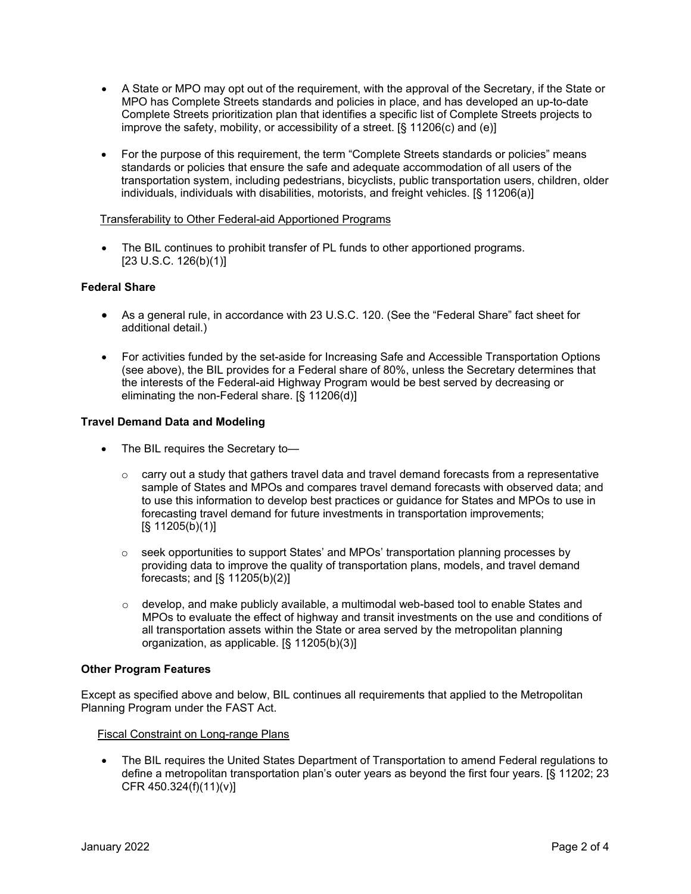- A State or MPO may opt out of the requirement, with the approval of the Secretary, if the State or MPO has Complete Streets standards and policies in place, and has developed an up-to-date Complete Streets prioritization plan that identifies a specific list of Complete Streets projects to improve the safety, mobility, or accessibility of a street. [§ 11206(c) and (e)]
- For the purpose of this requirement, the term "Complete Streets standards or policies" means standards or policies that ensure the safe and adequate accommodation of all users of the transportation system, including pedestrians, bicyclists, public transportation users, children, older individuals, individuals with disabilities, motorists, and freight vehicles. [§ 11206(a)]

## Transferability to Other Federal-aid Apportioned Programs

The BIL continues to prohibit transfer of PL funds to other apportioned programs. [23 U.S.C. 126(b)(1)]

# **Federal Share**

- As a general rule, in accordance with 23 U.S.C. 120. (See the "Federal Share" fact sheet for additional detail.)
- For activities funded by the set-aside for Increasing Safe and Accessible Transportation Options (see above), the BIL provides for a Federal share of 80%, unless the Secretary determines that the interests of the Federal-aid Highway Program would be best served by decreasing or eliminating the non-Federal share. [§ 11206(d)]

# **Travel Demand Data and Modeling**

- The BIL requires the Secretary to-
	- $\circ$  carry out a study that gathers travel data and travel demand forecasts from a representative sample of States and MPOs and compares travel demand forecasts with observed data; and to use this information to develop best practices or guidance for States and MPOs to use in forecasting travel demand for future investments in transportation improvements; [§ 11205(b)(1)]
	- o seek opportunities to support States' and MPOs' transportation planning processes by providing data to improve the quality of transportation plans, models, and travel demand forecasts; and [§ 11205(b)(2)]
	- $\circ$  develop, and make publicly available, a multimodal web-based tool to enable States and MPOs to evaluate the effect of highway and transit investments on the use and conditions of all transportation assets within the State or area served by the metropolitan planning organization, as applicable. [§ 11205(b)(3)]

## **Other Program Features**

Except as specified above and below, BIL continues all requirements that applied to the Metropolitan Planning Program under the FAST Act.

Fiscal Constraint on Long-range Plans

• The BIL requires the United States Department of Transportation to amend Federal regulations to define a metropolitan transportation plan's outer years as beyond the first four years. [§ 11202; 23 CFR 450.324(f)(11)(v)]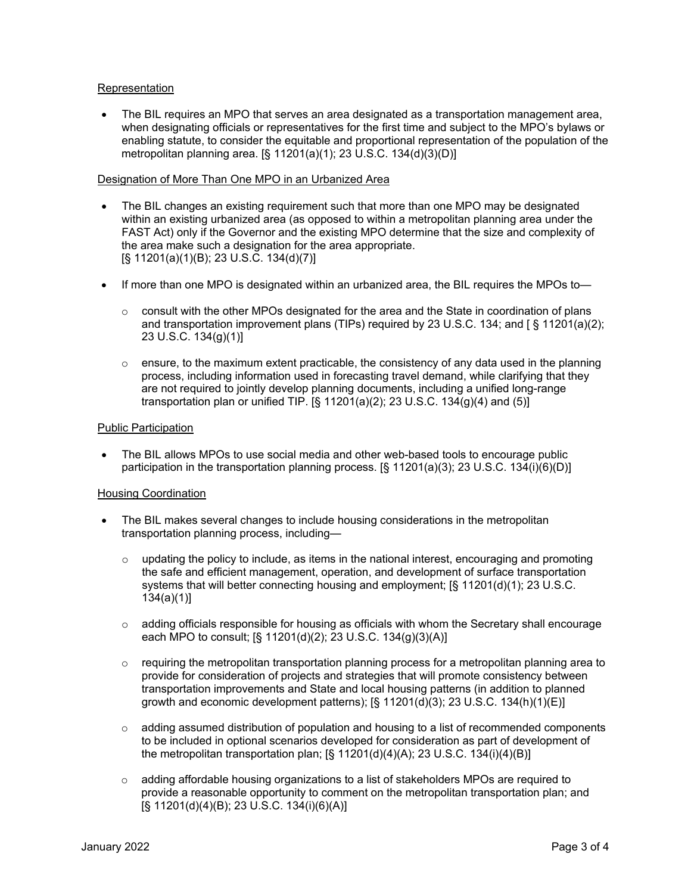## Representation

• The BIL requires an MPO that serves an area designated as a transportation management area, when designating officials or representatives for the first time and subject to the MPO's bylaws or enabling statute, to consider the equitable and proportional representation of the population of the metropolitan planning area. [§ 11201(a)(1); 23 U.S.C. 134(d)(3)(D)]

# Designation of More Than One MPO in an Urbanized Area

- The BIL changes an existing requirement such that more than one MPO may be designated within an existing urbanized area (as opposed to within a metropolitan planning area under the FAST Act) only if the Governor and the existing MPO determine that the size and complexity of the area make such a designation for the area appropriate. [§ 11201(a)(1)(B); 23 U.S.C. 134(d)(7)]
- If more than one MPO is designated within an urbanized area, the BIL requires the MPOs to—
	- $\circ$  consult with the other MPOs designated for the area and the State in coordination of plans and transportation improvement plans (TIPs) required by 23 U.S.C. 134; and  $\lceil \xi \cdot 11201(a)(2) \rceil$ ; 23 U.S.C. 134(g)(1)]
	- $\circ$  ensure, to the maximum extent practicable, the consistency of any data used in the planning process, including information used in forecasting travel demand, while clarifying that they are not required to jointly develop planning documents, including a unified long-range transportation plan or unified TIP.  $\S$  11201(a)(2); 23 U.S.C. 134(g)(4) and (5)]

# Public Participation

• The BIL allows MPOs to use social media and other web-based tools to encourage public participation in the transportation planning process. [§ 11201(a)(3); 23 U.S.C. 134(i)(6)(D)]

## Housing Coordination

- The BIL makes several changes to include housing considerations in the metropolitan transportation planning process, including—
	- $\circ$  updating the policy to include, as items in the national interest, encouraging and promoting the safe and efficient management, operation, and development of surface transportation systems that will better connecting housing and employment; [§ 11201(d)(1); 23 U.S.C. 134(a)(1)]
	- $\circ$  adding officials responsible for housing as officials with whom the Secretary shall encourage each MPO to consult; [§ 11201(d)(2); 23 U.S.C. 134(g)(3)(A)]
	- $\circ$  requiring the metropolitan transportation planning process for a metropolitan planning area to provide for consideration of projects and strategies that will promote consistency between transportation improvements and State and local housing patterns (in addition to planned growth and economic development patterns);  $\S$  11201(d)(3); 23 U.S.C. 134(h)(1)(E)]
	- $\circ$  adding assumed distribution of population and housing to a list of recommended components to be included in optional scenarios developed for consideration as part of development of the metropolitan transportation plan;  $[\S 11201(d)(4)(A); 23 U.S.C. 134(i)(4)(B)]$
	- $\circ$  adding affordable housing organizations to a list of stakeholders MPOs are required to provide a reasonable opportunity to comment on the metropolitan transportation plan; and [§ 11201(d)(4)(B); 23 U.S.C. 134(i)(6)(A)]